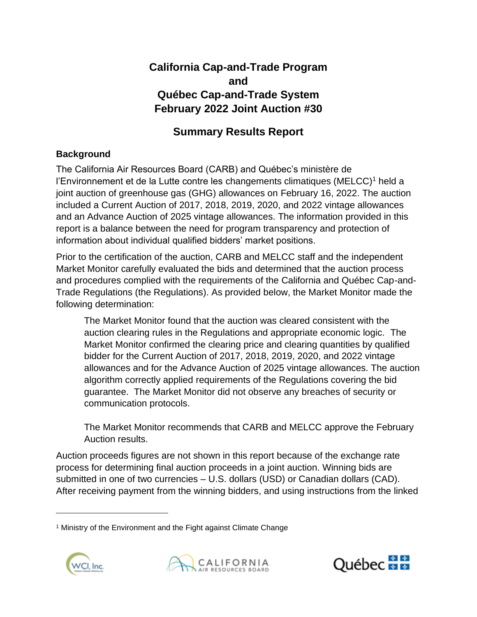# **California Cap-and-Trade Program and Québec Cap-and-Trade System February 2022 Joint Auction #30**

# **Summary Results Report**

## **Background**

The California Air Resources Board (CARB) and Québec's ministère de l'Environnement et de la Lutte contre les changements climatiques (MELCC)<sup>1</sup> held a joint auction of greenhouse gas (GHG) allowances on February 16, 2022. The auction included a Current Auction of 2017, 2018, 2019, 2020, and 2022 vintage allowances and an Advance Auction of 2025 vintage allowances. The information provided in this report is a balance between the need for program transparency and protection of information about individual qualified bidders' market positions.

Prior to the certification of the auction, CARB and MELCC staff and the independent Market Monitor carefully evaluated the bids and determined that the auction process and procedures complied with the requirements of the California and Québec Cap-and-Trade Regulations (the Regulations). As provided below, the Market Monitor made the following determination:

The Market Monitor found that the auction was cleared consistent with the auction clearing rules in the Regulations and appropriate economic logic. The Market Monitor confirmed the clearing price and clearing quantities by qualified bidder for the Current Auction of 2017, 2018, 2019, 2020, and 2022 vintage allowances and for the Advance Auction of 2025 vintage allowances. The auction algorithm correctly applied requirements of the Regulations covering the bid guarantee. The Market Monitor did not observe any breaches of security or communication protocols.

The Market Monitor recommends that CARB and MELCC approve the February Auction results.

Auction proceeds figures are not shown in this report because of the exchange rate process for determining final auction proceeds in a joint auction. Winning bids are submitted in one of two currencies – U.S. dollars (USD) or Canadian dollars (CAD). After receiving payment from the winning bidders, and using instructions from the linked

<sup>&</sup>lt;sup>1</sup> Ministry of the Environment and the Fight against Climate Change





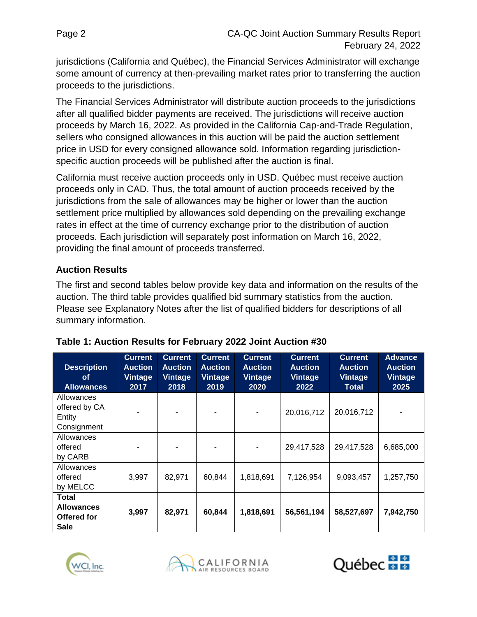jurisdictions (California and Québec), the Financial Services Administrator will exchange some amount of currency at then-prevailing market rates prior to transferring the auction proceeds to the jurisdictions.

The Financial Services Administrator will distribute auction proceeds to the jurisdictions after all qualified bidder payments are received. The jurisdictions will receive auction proceeds by March 16, 2022. As provided in the California Cap-and-Trade Regulation, sellers who consigned allowances in this auction will be paid the auction settlement price in USD for every consigned allowance sold. Information regarding jurisdictionspecific auction proceeds will be published after the auction is final.

California must receive auction proceeds only in USD. Québec must receive auction proceeds only in CAD. Thus, the total amount of auction proceeds received by the jurisdictions from the sale of allowances may be higher or lower than the auction settlement price multiplied by allowances sold depending on the prevailing exchange rates in effect at the time of currency exchange prior to the distribution of auction proceeds. Each jurisdiction will separately post information on March 16, 2022, providing the final amount of proceeds transferred.

#### **Auction Results**

The first and second tables below provide key data and information on the results of the auction. The third table provides qualified bid summary statistics from the auction. Please see Explanatory Notes after the list of qualified bidders for descriptions of all summary information.

| <b>Description</b><br><b>of</b><br><b>Allowances</b>            | <b>Current</b><br><b>Auction</b><br>Vintage<br>2017 | <b>Current</b><br><b>Auction</b><br><b>Vintage</b><br>2018 | <b>Current</b><br><b>Auction</b><br>Vintage<br>2019 | <b>Current</b><br><b>Auction</b><br>Vintage<br>2020 | <b>Current</b><br><b>Auction</b><br>Vintage<br>2022 | <b>Current</b><br><b>Auction</b><br><b>Vintage</b><br><b>Total</b> | <b>Advance</b><br><b>Auction</b><br><b>Vintage</b><br>2025 |
|-----------------------------------------------------------------|-----------------------------------------------------|------------------------------------------------------------|-----------------------------------------------------|-----------------------------------------------------|-----------------------------------------------------|--------------------------------------------------------------------|------------------------------------------------------------|
| Allowances<br>offered by CA<br>Entity<br>Consignment            |                                                     |                                                            |                                                     |                                                     | 20,016,712                                          | 20,016,712                                                         |                                                            |
| Allowances<br>offered<br>by CARB                                |                                                     |                                                            |                                                     |                                                     | 29,417,528                                          | 29,417,528                                                         | 6,685,000                                                  |
| Allowances<br>offered<br>by MELCC                               | 3,997                                               | 82,971                                                     | 60,844                                              | 1,818,691                                           | 7,126,954                                           | 9,093,457                                                          | 1,257,750                                                  |
| <b>Total</b><br><b>Allowances</b><br>Offered for<br><b>Sale</b> | 3,997                                               | 82,971                                                     | 60,844                                              | 1,818,691                                           | 56,561,194                                          | 58,527,697                                                         | 7,942,750                                                  |

|  |  | Table 1: Auction Results for February 2022 Joint Auction #30 |  |
|--|--|--------------------------------------------------------------|--|
|  |  |                                                              |  |





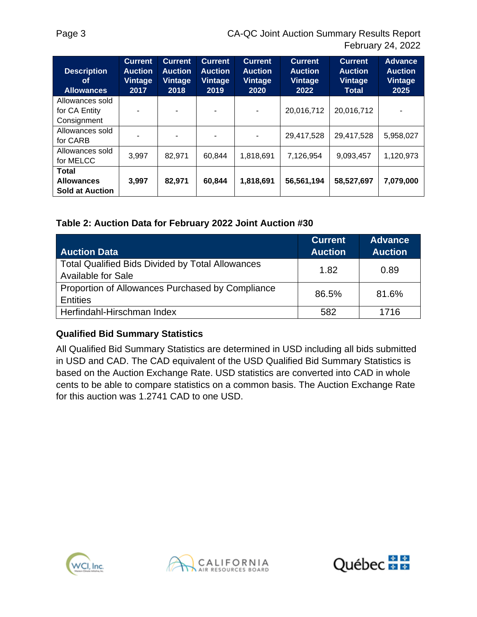| <b>Description</b><br><b>of</b><br><b>Allowances</b>        | <b>Current</b><br><b>Auction</b><br>Vintage<br>2017 | <b>Current</b><br><b>Auction</b><br><b>Vintage</b><br>2018 | <b>Current</b><br><b>Auction</b><br><b>Vintage</b><br>2019 | <b>Current</b><br><b>Auction</b><br>Vintage<br>2020 | <b>Current</b><br><b>Auction</b><br><b>Vintage</b><br>2022 | <b>Current</b><br><b>Auction</b><br><b>Vintage</b><br><b>Total</b> | <b>Advance</b><br><b>Auction</b><br><b>Vintage</b><br>2025 |
|-------------------------------------------------------------|-----------------------------------------------------|------------------------------------------------------------|------------------------------------------------------------|-----------------------------------------------------|------------------------------------------------------------|--------------------------------------------------------------------|------------------------------------------------------------|
| Allowances sold<br>for CA Entity<br>Consignment             |                                                     |                                                            |                                                            |                                                     | 20,016,712                                                 | 20,016,712                                                         |                                                            |
| Allowances sold<br>for CARB                                 |                                                     |                                                            |                                                            |                                                     | 29,417,528                                                 | 29,417,528                                                         | 5,958,027                                                  |
| Allowances sold<br>for MELCC                                | 3,997                                               | 82,971                                                     | 60,844                                                     | 1,818,691                                           | 7,126,954                                                  | 9,093,457                                                          | 1,120,973                                                  |
| <b>Total</b><br><b>Allowances</b><br><b>Sold at Auction</b> | 3,997                                               | 82,971                                                     | 60,844                                                     | 1,818,691                                           | 56,561,194                                                 | 58,527,697                                                         | 7,079,000                                                  |

#### **Table 2: Auction Data for February 2022 Joint Auction #30**

| <b>Auction Data</b>                                                           | <b>Current</b><br><b>Auction</b> | <b>Advance</b><br><b>Auction</b> |
|-------------------------------------------------------------------------------|----------------------------------|----------------------------------|
| <b>Total Qualified Bids Divided by Total Allowances</b><br>Available for Sale | 1.82                             | 0.89                             |
| Proportion of Allowances Purchased by Compliance<br><b>Entities</b>           | 86.5%                            | 81.6%                            |
| Herfindahl-Hirschman Index                                                    | 582                              | 1716                             |

#### **Qualified Bid Summary Statistics**

All Qualified Bid Summary Statistics are determined in USD including all bids submitted in USD and CAD. The CAD equivalent of the USD Qualified Bid Summary Statistics is based on the Auction Exchange Rate. USD statistics are converted into CAD in whole cents to be able to compare statistics on a common basis. The Auction Exchange Rate for this auction was 1.2741 CAD to one USD.





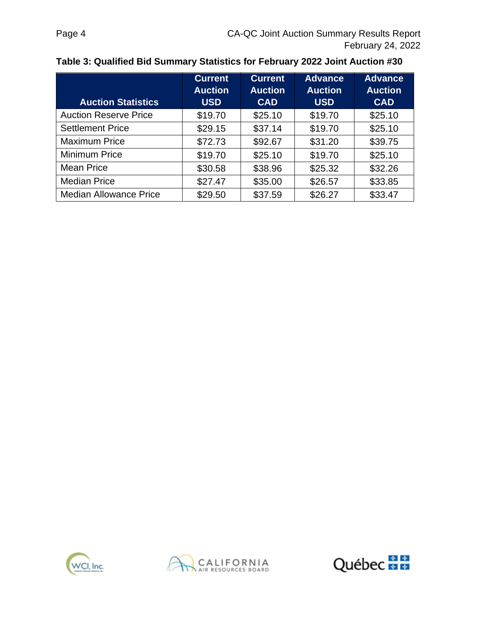| <b>Auction Statistics</b>     | <b>Current</b><br><b>Auction</b><br><b>USD</b> | <b>Current</b><br><b>Auction</b><br><b>CAD</b> | <b>Advance</b><br><b>Auction</b><br><b>USD</b> | <b>Advance</b><br><b>Auction</b><br><b>CAD</b> |
|-------------------------------|------------------------------------------------|------------------------------------------------|------------------------------------------------|------------------------------------------------|
| <b>Auction Reserve Price</b>  | \$19.70                                        | \$25.10                                        | \$19.70                                        | \$25.10                                        |
| <b>Settlement Price</b>       | \$29.15                                        | \$37.14                                        | \$19.70                                        | \$25.10                                        |
| <b>Maximum Price</b>          | \$72.73                                        | \$92.67                                        | \$31.20                                        | \$39.75                                        |
| <b>Minimum Price</b>          | \$19.70                                        | \$25.10                                        | \$19.70                                        | \$25.10                                        |
| <b>Mean Price</b>             | \$30.58                                        | \$38.96                                        | \$25.32                                        | \$32.26                                        |
| <b>Median Price</b>           | \$27.47                                        | \$35.00                                        | \$26.57                                        | \$33.85                                        |
| <b>Median Allowance Price</b> | \$29.50                                        | \$37.59                                        | \$26.27                                        | \$33.47                                        |





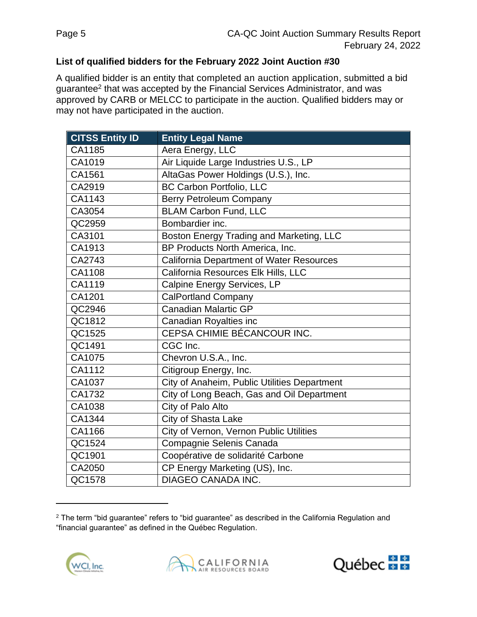### **List of qualified bidders for the February 2022 Joint Auction #30**

A qualified bidder is an entity that completed an auction application, submitted a bid guarantee<sup>2</sup> that was accepted by the Financial Services Administrator, and was approved by CARB or MELCC to participate in the auction. Qualified bidders may or may not have participated in the auction.

| <b>CITSS Entity ID</b> | <b>Entity Legal Name</b>                        |
|------------------------|-------------------------------------------------|
| CA1185                 | Aera Energy, LLC                                |
| CA1019                 | Air Liquide Large Industries U.S., LP           |
| CA1561                 | AltaGas Power Holdings (U.S.), Inc.             |
| CA2919                 | <b>BC Carbon Portfolio, LLC</b>                 |
| CA1143                 | <b>Berry Petroleum Company</b>                  |
| CA3054                 | <b>BLAM Carbon Fund, LLC</b>                    |
| QC2959                 | Bombardier inc.                                 |
| CA3101                 | Boston Energy Trading and Marketing, LLC        |
| CA1913                 | BP Products North America, Inc.                 |
| CA2743                 | <b>California Department of Water Resources</b> |
| CA1108                 | California Resources Elk Hills, LLC             |
| CA1119                 | Calpine Energy Services, LP                     |
| CA1201                 | <b>CalPortland Company</b>                      |
| QC2946                 | <b>Canadian Malartic GP</b>                     |
| QC1812                 | Canadian Royalties inc                          |
| QC1525                 | CEPSA CHIMIE BÉCANCOUR INC.                     |
| QC1491                 | CGC Inc.                                        |
| CA1075                 | Chevron U.S.A., Inc.                            |
| CA1112                 | Citigroup Energy, Inc.                          |
| CA1037                 | City of Anaheim, Public Utilities Department    |
| CA1732                 | City of Long Beach, Gas and Oil Department      |
| CA1038                 | City of Palo Alto                               |
| CA1344                 | City of Shasta Lake                             |
| CA1166                 | City of Vernon, Vernon Public Utilities         |
| QC1524                 | Compagnie Selenis Canada                        |
| QC1901                 | Coopérative de solidarité Carbone               |
| CA2050                 | CP Energy Marketing (US), Inc.                  |
| QC1578                 | <b>DIAGEO CANADA INC.</b>                       |

<sup>&</sup>lt;sup>2</sup> The term "bid guarantee" refers to "bid guarantee" as described in the California Regulation and "financial guarantee" as defined in the Québec Regulation.





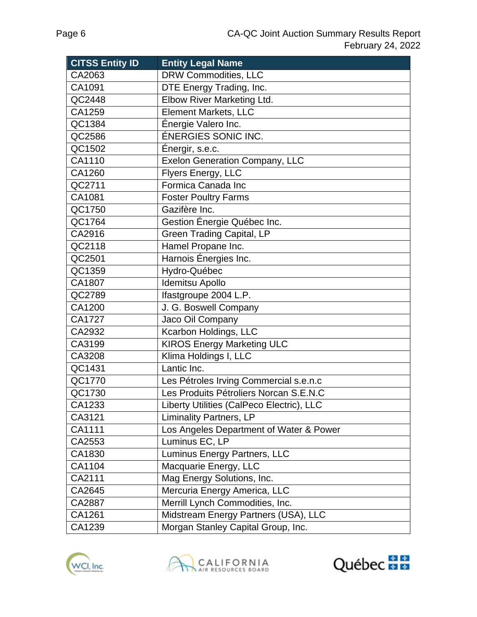| <b>CITSS Entity ID</b> | <b>Entity Legal Name</b>                  |
|------------------------|-------------------------------------------|
| CA2063                 | <b>DRW Commodities, LLC</b>               |
| CA1091                 | DTE Energy Trading, Inc.                  |
| QC2448                 | Elbow River Marketing Ltd.                |
| CA1259                 | Element Markets, LLC                      |
| QC1384                 | Énergie Valero Inc.                       |
| QC2586                 | <b>ÉNERGIES SONIC INC.</b>                |
| QC1502                 | Énergir, s.e.c.                           |
| CA1110                 | <b>Exelon Generation Company, LLC</b>     |
| CA1260                 | Flyers Energy, LLC                        |
| QC2711                 | Formica Canada Inc                        |
| CA1081                 | <b>Foster Poultry Farms</b>               |
| QC1750                 | Gazifère Inc.                             |
| QC1764                 | Gestion Énergie Québec Inc.               |
| CA2916                 | <b>Green Trading Capital, LP</b>          |
| QC2118                 | Hamel Propane Inc.                        |
| QC2501                 | Harnois Énergies Inc.                     |
| QC1359                 | Hydro-Québec                              |
| CA1807                 | Idemitsu Apollo                           |
| QC2789                 | Ifastgroupe 2004 L.P.                     |
| CA1200                 | J. G. Boswell Company                     |
| CA1727                 | Jaco Oil Company                          |
| CA2932                 | Kcarbon Holdings, LLC                     |
| CA3199                 | <b>KIROS Energy Marketing ULC</b>         |
| CA3208                 | Klima Holdings I, LLC                     |
| QC1431                 | Lantic Inc.                               |
| QC1770                 | Les Pétroles Irving Commercial s.e.n.c    |
| QC1730                 | Les Produits Pétroliers Norcan S.E.N.C    |
| CA1233                 | Liberty Utilities (CalPeco Electric), LLC |
| CA3121                 | Liminality Partners, LP                   |
| CA1111                 | Los Angeles Department of Water & Power   |
| CA2553                 | Luminus EC, LP                            |
| CA1830                 | Luminus Energy Partners, LLC              |
| CA1104                 | Macquarie Energy, LLC                     |
| CA2111                 | Mag Energy Solutions, Inc.                |
| CA2645                 | Mercuria Energy America, LLC              |
| CA2887                 | Merrill Lynch Commodities, Inc.           |
| CA1261                 | Midstream Energy Partners (USA), LLC      |
| CA1239                 | Morgan Stanley Capital Group, Inc.        |





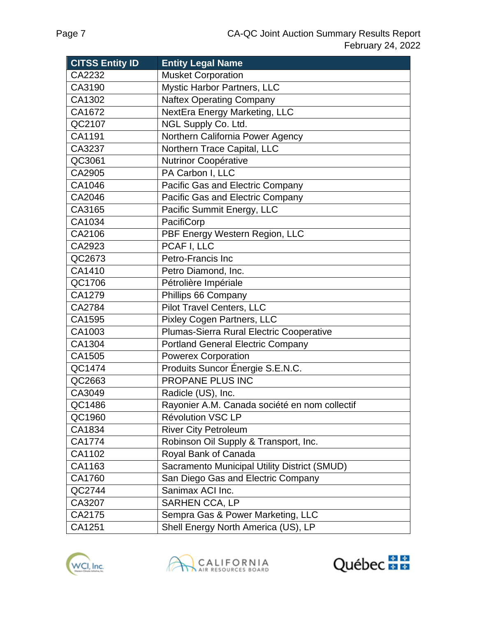| <b>CITSS Entity ID</b> | <b>Entity Legal Name</b>                      |
|------------------------|-----------------------------------------------|
| CA2232                 | <b>Musket Corporation</b>                     |
| CA3190                 | <b>Mystic Harbor Partners, LLC</b>            |
| CA1302                 | <b>Naftex Operating Company</b>               |
| CA1672                 | NextEra Energy Marketing, LLC                 |
| QC2107                 | NGL Supply Co. Ltd.                           |
| CA1191                 | Northern California Power Agency              |
| CA3237                 | Northern Trace Capital, LLC                   |
| QC3061                 | Nutrinor Coopérative                          |
| CA2905                 | PA Carbon I, LLC                              |
| CA1046                 | Pacific Gas and Electric Company              |
| CA2046                 | Pacific Gas and Electric Company              |
| CA3165                 | Pacific Summit Energy, LLC                    |
| CA1034                 | PacifiCorp                                    |
| CA2106                 | PBF Energy Western Region, LLC                |
| CA2923                 | PCAF I, LLC                                   |
| QC2673                 | Petro-Francis Inc                             |
| CA1410                 | Petro Diamond, Inc.                           |
| QC1706                 | Pétrolière Impériale                          |
| CA1279                 | Phillips 66 Company                           |
| CA2784                 | Pilot Travel Centers, LLC                     |
| CA1595                 | Pixley Cogen Partners, LLC                    |
| CA1003                 | Plumas-Sierra Rural Electric Cooperative      |
| CA1304                 | <b>Portland General Electric Company</b>      |
| CA1505                 | <b>Powerex Corporation</b>                    |
| QC1474                 | Produits Suncor Énergie S.E.N.C.              |
| QC2663                 | PROPANE PLUS INC                              |
| CA3049                 | Radicle (US), Inc.                            |
| QC1486                 | Rayonier A.M. Canada société en nom collectif |
| QC1960                 | <b>Révolution VSC LP</b>                      |
| CA1834                 | <b>River City Petroleum</b>                   |
| CA1774                 | Robinson Oil Supply & Transport, Inc.         |
| CA1102                 | Royal Bank of Canada                          |
| CA1163                 | Sacramento Municipal Utility District (SMUD)  |
| CA1760                 | San Diego Gas and Electric Company            |
| QC2744                 | Sanimax ACI Inc.                              |
| CA3207                 | SARHEN CCA, LP                                |
| CA2175                 | Sempra Gas & Power Marketing, LLC             |
| CA1251                 | Shell Energy North America (US), LP           |





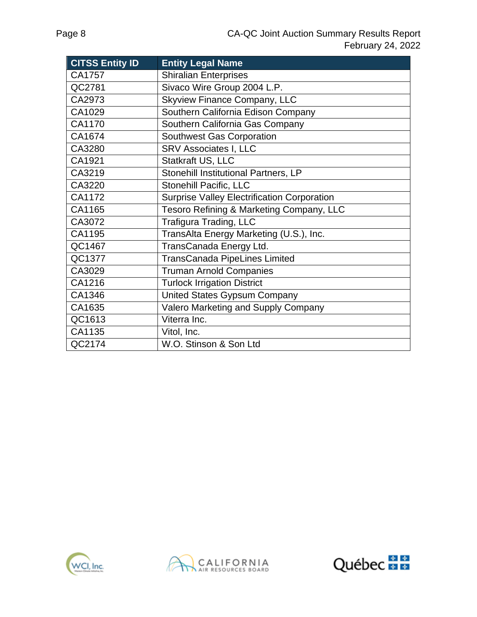| <b>CITSS Entity ID</b> | <b>Entity Legal Name</b>                           |
|------------------------|----------------------------------------------------|
| CA1757                 | <b>Shiralian Enterprises</b>                       |
| QC2781                 | Sivaco Wire Group 2004 L.P.                        |
| CA2973                 | <b>Skyview Finance Company, LLC</b>                |
| CA1029                 | Southern California Edison Company                 |
| CA1170                 | Southern California Gas Company                    |
| CA1674                 | <b>Southwest Gas Corporation</b>                   |
| CA3280                 | <b>SRV Associates I, LLC</b>                       |
| CA1921                 | Statkraft US, LLC                                  |
| CA3219                 | Stonehill Institutional Partners, LP               |
| CA3220                 | Stonehill Pacific, LLC                             |
| CA1172                 | <b>Surprise Valley Electrification Corporation</b> |
| CA1165                 | Tesoro Refining & Marketing Company, LLC           |
| CA3072                 | <b>Trafigura Trading, LLC</b>                      |
| CA1195                 | TransAlta Energy Marketing (U.S.), Inc.            |
| QC1467                 | TransCanada Energy Ltd.                            |
| QC1377                 | <b>TransCanada PipeLines Limited</b>               |
| CA3029                 | <b>Truman Arnold Companies</b>                     |
| CA1216                 | <b>Turlock Irrigation District</b>                 |
| CA1346                 | United States Gypsum Company                       |
| CA1635                 | Valero Marketing and Supply Company                |
| QC1613                 | Viterra Inc.                                       |
| CA1135                 | Vitol, Inc.                                        |
| QC2174                 | W.O. Stinson & Son Ltd                             |





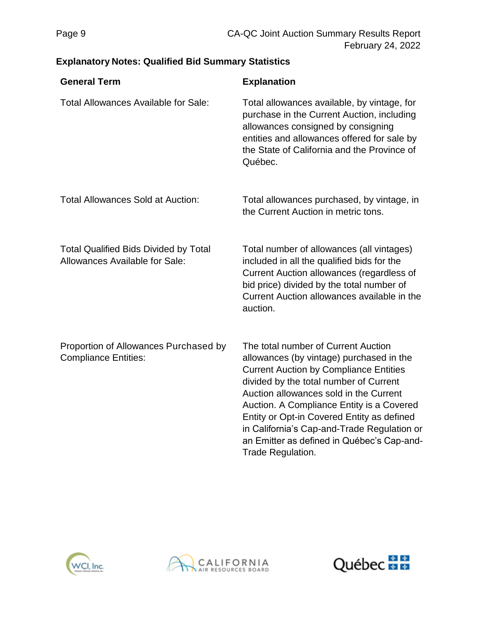# **Explanatory Notes: Qualified Bid Summary Statistics**

| <b>General Term</b>                                                            | <b>Explanation</b>                                                                                                                                                                                                                                                                                                                                                                                                                |
|--------------------------------------------------------------------------------|-----------------------------------------------------------------------------------------------------------------------------------------------------------------------------------------------------------------------------------------------------------------------------------------------------------------------------------------------------------------------------------------------------------------------------------|
| <b>Total Allowances Available for Sale:</b>                                    | Total allowances available, by vintage, for<br>purchase in the Current Auction, including<br>allowances consigned by consigning<br>entities and allowances offered for sale by<br>the State of California and the Province of<br>Québec.                                                                                                                                                                                          |
| <b>Total Allowances Sold at Auction:</b>                                       | Total allowances purchased, by vintage, in<br>the Current Auction in metric tons.                                                                                                                                                                                                                                                                                                                                                 |
| <b>Total Qualified Bids Divided by Total</b><br>Allowances Available for Sale: | Total number of allowances (all vintages)<br>included in all the qualified bids for the<br>Current Auction allowances (regardless of<br>bid price) divided by the total number of<br>Current Auction allowances available in the<br>auction.                                                                                                                                                                                      |
| Proportion of Allowances Purchased by<br><b>Compliance Entities:</b>           | The total number of Current Auction<br>allowances (by vintage) purchased in the<br><b>Current Auction by Compliance Entities</b><br>divided by the total number of Current<br>Auction allowances sold in the Current<br>Auction. A Compliance Entity is a Covered<br>Entity or Opt-in Covered Entity as defined<br>in California's Cap-and-Trade Regulation or<br>an Emitter as defined in Québec's Cap-and-<br>Trade Regulation. |





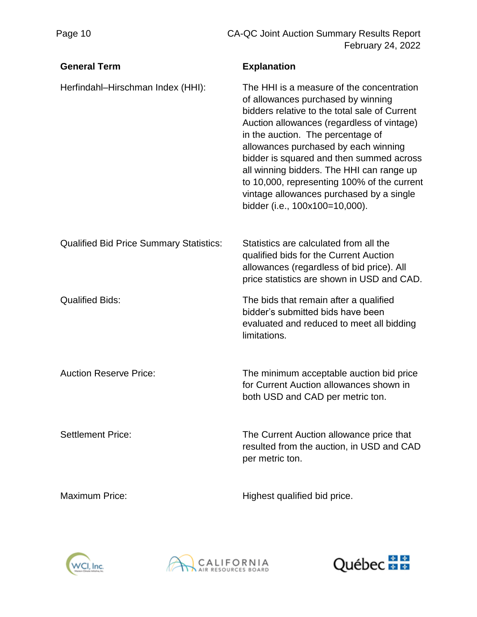| <b>General Term</b>                            | <b>Explanation</b>                                                                                                                                                                                                                                                                                                                                                                                                                                                                |
|------------------------------------------------|-----------------------------------------------------------------------------------------------------------------------------------------------------------------------------------------------------------------------------------------------------------------------------------------------------------------------------------------------------------------------------------------------------------------------------------------------------------------------------------|
| Herfindahl-Hirschman Index (HHI):              | The HHI is a measure of the concentration<br>of allowances purchased by winning<br>bidders relative to the total sale of Current<br>Auction allowances (regardless of vintage)<br>in the auction. The percentage of<br>allowances purchased by each winning<br>bidder is squared and then summed across<br>all winning bidders. The HHI can range up<br>to 10,000, representing 100% of the current<br>vintage allowances purchased by a single<br>bidder (i.e., 100x100=10,000). |
| <b>Qualified Bid Price Summary Statistics:</b> | Statistics are calculated from all the<br>qualified bids for the Current Auction<br>allowances (regardless of bid price). All<br>price statistics are shown in USD and CAD.                                                                                                                                                                                                                                                                                                       |
| <b>Qualified Bids:</b>                         | The bids that remain after a qualified<br>bidder's submitted bids have been<br>evaluated and reduced to meet all bidding<br>limitations.                                                                                                                                                                                                                                                                                                                                          |
| <b>Auction Reserve Price:</b>                  | The minimum acceptable auction bid price<br>for Current Auction allowances shown in<br>both USD and CAD per metric ton.                                                                                                                                                                                                                                                                                                                                                           |
| <b>Settlement Price:</b>                       | The Current Auction allowance price that<br>resulted from the auction, in USD and CAD<br>per metric ton.                                                                                                                                                                                                                                                                                                                                                                          |
| <b>Maximum Price:</b>                          | Highest qualified bid price.                                                                                                                                                                                                                                                                                                                                                                                                                                                      |